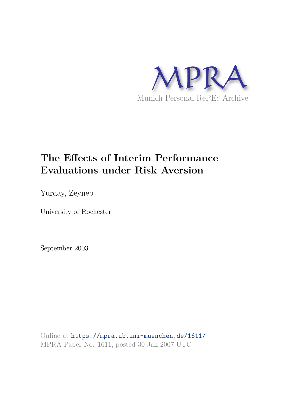

# **The Effects of Interim Performance Evaluations under Risk Aversion**

Yurday, Zeynep

University of Rochester

September 2003

Online at https://mpra.ub.uni-muenchen.de/1611/ MPRA Paper No. 1611, posted 30 Jan 2007 UTC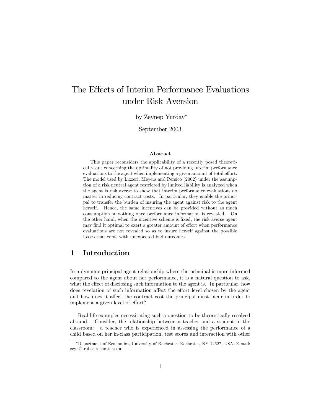## The Effects of Interim Performance Evaluations under Risk Aversion

by Zeynep Yurday<sup>∗</sup>

September 2003

#### Abstract

This paper reconsiders the applicability of a recently posed theoretical result concerning the optimality of not providing interim performance evaluations to the agent when implementing a given amount of total effort. The model used by Lizzeri, Meyers and Persico (2002) under the assumption of a risk neutral agent restricted by limited liability is analyzed when the agent is risk averse to show that interim performance evaluations do matter in reducing contract costs. In particular, they enable the principal to transfer the burden of insuring the agent against risk to the agent herself. Hence, the same incentives can be provided without as much consumption smoothing once performance information is revealed. On the other hand, when the incentive scheme is fixed, the risk averse agent may find it optimal to exert a greater amount of effort when performance evaluations are not revealed so as to insure herself against the possible losses that come with unexpected bad outcomes.

## 1 Introduction

In a dynamic principal-agent relationship where the principal is more informed compared to the agent about her performance, it is a natural question to ask, what the effect of disclosing such information to the agent is. In particular, how does revelation of such information affect the effort level chosen by the agent and how does it affect the contract cost the principal must incur in order to implement a given level of effort?

Real life examples necessitating such a question to be theoretically resolved abound. Consider, the relationship between a teacher and a student in the classroom: a teacher who is experienced in assessing the performance of a child based on her in-class participation, test scores and interaction with other

<sup>∗</sup>Department of Economics, University of Rochester, Rochester, NY 14627, USA. E-mail: zeyn@troi.cc.rochester.edu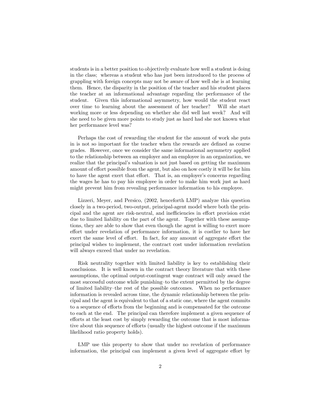students is in a better position to objectively evaluate how well a student is doing in the class; whereas a student who has just been introduced to the process of grappling with foreign concepts may not be aware of how well she is at learning them. Hence, the disparity in the position of the teacher and his student places the teacher at an informational advantage regarding the performance of the student. Given this informational asymmetry, how would the student react over time to learning about the assessment of her teacher? Will she start working more or less depending on whether she did well last week? And will she need to be given more points to study just as hard had she not known what her performance level was?

Perhaps the cost of rewarding the student for the amount of work she puts in is not so important for the teacher when the rewards are defined as course grades. However, once we consider the same informational asymmetry applied to the relationship between an employer and an employee in an organization, we realize that the principal's valuation is not just based on getting the maximum amount of effort possible from the agent, but also on how costly it will be for him to have the agent exert that effort. That is, an employer's concerns regarding the wages he has to pay his employee in order to make him work just as hard might prevent him from revealing performance information to his employee.

Lizzeri, Meyer, and Persico, (2002, henceforth LMP) analyze this question closely in a two-period, two-output, principal-agent model where both the principal and the agent are risk-neutral, and inefficiencies in effort provision exist due to limited liability on the part of the agent. Together with these assumptions, they are able to show that even though the agent is willing to exert more effort under revelation of performance information, it is costlier to have her exert the same level of effort. In fact, for any amount of aggregate effort the principal wishes to implement, the contract cost under information revelation will always exceed that under no revelation.

Risk neutrality together with limited liability is key to establishing their conclusions. It is well known in the contract theory literature that with these assumptions, the optimal output-contingent wage contract will only award the most successful outcome while punishing—to the extent permitted by the degree of limited liability—the rest of the possible outcomes. When no performance information is revealed across time, the dynamic relationship between the principal and the agent is equivalent to that of a static one, where the agent commits to a sequence of efforts from the beginning and is compensated for the outcome to each at the end. The principal can therefore implement a given sequence of efforts at the least cost by simply rewarding the outcome that is most informative about this sequence of efforts (usually the highest outcome if the maximum likelihood ratio property holds).

LMP use this property to show that under no revelation of performance information, the principal can implement a given level of aggregate effort by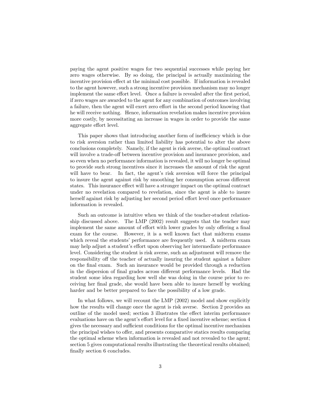paying the agent positive wages for two sequential successes while paying her zero wages otherwise. By so doing, the principal is actually maximizing the incentive provision effect at the minimal cost possible. If information is revealed to the agent however, such a strong incentive provision mechanism may no longer implement the same effort level. Once a failure is revealed after the first period, if zero wages are awarded to the agent for any combination of outcomes involving a failure, then the agent will exert zero effort in the second period knowing that he will receive nothing. Hence, information revelation makes incentive provision more costly, by necessitating an increase in wages in order to provide the same aggregate effort level.

This paper shows that introducing another form of inefficiency which is due to risk aversion rather than limited liability has potential to alter the above conclusions completely. Namely, if the agent is risk averse, the optimal contract will involve a trade-off between incentive provision and insurance provision, and so even when no performance information is revealed, it will no longer be optimal to provide such strong incentives since it increases the amount of risk the agent will have to bear. In fact, the agent's risk aversion will force the principal to insure the agent against risk by smoothing her consumption across different states. This insurance effect will have a stronger impact on the optimal contract under no revelation compared to revelation, since the agent is able to insure herself against risk by adjusting her second period effort level once performance information is revealed.

Such an outcome is intuitive when we think of the teacher-student relationship discussed above. The LMP (2002) result suggests that the teacher may implement the same amount of effort with lower grades by only offering a final exam for the course. However, it is a well known fact that midterm exams which reveal the students' performance are frequently used. A midterm exam may help adjust a student's effort upon observing her intermediate performance level. Considering the student is risk averse, such an adjustment will remove the responsibility off the teacher of actually insuring the student against a failure on the final exam. Such an insurance would be provided through a reduction in the dispersion of final grades across different performance levels. Had the student some idea regarding how well she was doing in the course prior to receiving her final grade, she would have been able to insure herself by working harder and be better prepared to face the possibility of a low grade.

In what follows, we will recount the LMP (2002) model and show explicitly how the results will change once the agent is risk averse. Section 2 provides an outline of the model used; section 3 illustrates the effect interim performance evaluations have on the agent's effort level for a fixed incentive scheme; section 4 gives the necessary and sufficient conditions for the optimal incentive mechanism the principal wishes to offer, and presents comparative statics results comparing the optimal scheme when information is revealed and not revealed to the agent; section 5 gives computational results illustrating the theoretical results obtained; finally section 6 concludes.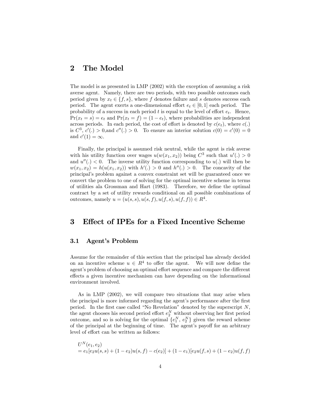## 2 The Model

The model is as presented in LMP (2002) with the exception of assuming a risk averse agent. Namely, there are two periods, with two possible outcomes each period given by  $x_t \in \{f, s\}$ , where f denotes failure and s denotes success each period. The agent exerts a one-dimensional effort  $e_t \in [0,1]$  each period. The probability of a success in each period t is equal to the level of effort  $e_t$ . Hence,  $Pr(x_t = s) = e_t$  and  $Pr(x_t = f) = (1 - e_t)$ , where probabilities are independent across periods. In each period, the cost of effort is denoted by  $c(e_t)$ , where  $c(.)$ is  $C^3$ ,  $c'(\cdot) > 0$ , and  $c''(\cdot) > 0$ . To ensure an interior solution  $c(0) = c'(0) = 0$ and  $c'(1) = \infty$ .

Finally, the principal is assumed risk neutral, while the agent is risk averse with his utility function over wages  $u(w(x_1, x_2))$  being  $C^3$  such that  $u'(.) > 0$ and  $u''(.) < 0$ . The inverse utility function corresponding to  $u(.)$  will then be  $w(x_1, x_2) = h(u(x_1, x_2))$  with  $h'(.) > 0$  and  $h''(.) > 0$ . The concavity of the principal's problem against a convex constraint set will be guaranteed once we convert the problem to one of solving for the optimal incentive scheme in terms of utilities ala Grossman and Hart (1983). Therefore, we define the optimal contract by a set of utility rewards conditional on all possible combinations of outcomes, namely  $u = (u(s, s), u(s, f), u(f, s), u(f, f)) \in R^4$ .

### 3 Effect of IPEs for a Fixed Incentive Scheme

#### 3.1 Agent's Problem

Assume for the remainder of this section that the principal has already decided on an incentive scheme  $u \in R^4$  to offer the agent. We will now define the agent's problem of choosing an optimal effort sequence and compare the different effects a given incentive mechanism can have depending on the informational environment involved.

As in LMP (2002), we will compare two situations that may arise when the principal is more informed regarding the agent's performance after the first period. In the first case called "No Revelation" denoted by the superscript N, the agent chooses his second period effort  $e_2^N$  without observing her first period outcome, and so is solving for the optimal  $\{e_1^N, e_2^N\}$  given the reward scheme of the principal at the beginning of time. The agent's payoff for an arbitrary level of effort can be written as follows:

$$
U^N(e_1, e_2)
$$
  
=  $e_1[e_2u(s, s) + (1 - e_2)u(s, f) - c(e_2)] + (1 - e_1)[e_2u(f, s) + (1 - e_2)u(f, f)]$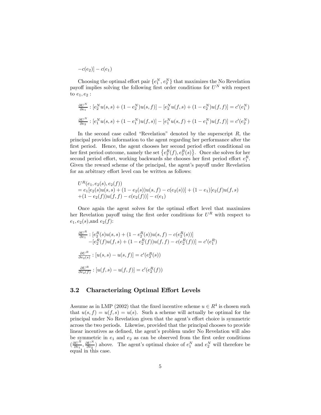$-c(e_2)$ ] –  $c(e_1)$ 

Choosing the optimal effort pair  $\{e_1^N, e_2^N\}$  that maximizes the No Revelation payoff implies solving the following first order conditions for  $U^N$  with respect to  $e_1, e_2$ :

$$
\frac{\partial U^N}{\partial e_1} : [e_2^N u(s, s) + (1 - e_2^N) u(s, f)] - [e_2^N u(f, s) + (1 - e_2^N) u(f, f)] = c'(e_1^N)
$$
  

$$
\frac{\partial U^N}{\partial e_2} : [e_1^N u(s, s) + (1 - e_1^N) u(f, s)] - [e_1^N u(s, f) + (1 - e_1^N) u(f, f)] = c'(e_2^N)
$$

In the second case called "Revelation" denoted by the superscript  $R$ , the principal provides information to the agent regarding her performance after the first period. Hence, the agent chooses her second period effort conditional on her first period outcome, namely the set  $\{e_2^R(f), e_2^R(s)\}\$ . Once she solves for her second period effort, working backwards she chooses her first period effort  $e_1^R$ . Given the reward scheme of the principal, the agent's payoff under Revelation for an arbitrary effort level can be written as follows:

$$
U^R(e_1, e_2(s), e_2(f))
$$
  
=  $e_1[e_2(s)u(s, s) + (1 - e_2(s))u(s, f) - c(e_2(s))] + (1 - e_1)[e_2(f)u(f, s) + (1 - e_2(f))u(f, f) - c(e_2(f))] - c(e_1)$ 

Once again the agent solves for the optimal effort level that maximizes her Revelation payoff using the first order conditions for  $U^R$  with respect to  $e_1, e_2(s)$ , and  $e_2(f)$ :

$$
\frac{\partial U^R}{\partial e_1} : [e_2^R(s)u(s, s) + (1 - e_2^R(s))u(s, f) - c(e_2^R(s))]
$$
  
 
$$
-[e_2^R(f)u(f, s) + (1 - e_2^R(f))u(f, f) - c(e_2^R(f))] = c'(e_1^R)
$$
  

$$
\frac{\partial U^R}{\partial e_2(s)} : [u(s, s) - u(s, f)] = c'(e_2^R(s))
$$
  

$$
\frac{\partial U^R}{\partial e_2(f)} : [u(f, s) - u(f, f)] = c'(e_2^R(f))
$$

#### 3.2 Characterizing Optimal Effort Levels

Assume as in LMP (2002) that the fixed incentive scheme  $u \in R^4$  is chosen such that  $u(s, f) = u(f, s) = u(s)$ . Such a scheme will actually be optimal for the principal under No Revelation given that the agent's effort choice is symmetric across the two periods. Likewise, provided that the principal chooses to provide linear incentives as defined, the agent's problem under No Revelation will also be symmetric in  $e_1$  and  $e_2$  as can be observed from the first order conditions  $\left(\frac{\partial U^N}{\partial e_1}, \frac{\partial U^N}{\partial e_2}\right)$  above. The agent's optimal choice of  $e_1^N$  and  $e_2^N$  will therefore be equal in this case.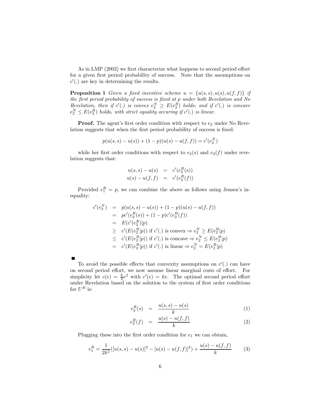As in LMP (2002) we first characterize what happens to second period effort for a given first period probability of success. Note that the assumptions on  $c'$ (.) are key in determining the results.

**Proposition 1** Given a fixed incentive scheme  $u = \{u(s, s), u(s), u(f, f)\}\$ if *the* fi*rst period probability of success is* fi*xed at* p *under both Revelation and No Revelation, then if*  $c'(.)$  *is convex*  $e_2^N \ge E(e_2^R)$  *holds; and if*  $c'(.)$  *is concave*  $e_2^N \le E(e_2^R)$  holds, with strict equality occuring if  $c'(.)$  is linear.

**Proof.** The agent's first order condition with respect to  $e_2$  under No Revelation suggests that when the first period probability of success is fixed:

$$
p(u(s, s) – u(s)) + (1 – p)(u(s) – u(f, f)) = c'(e_2^N)
$$

while her first order conditions with respect to  $e_2(s)$  and  $e_2(f)$  under revelation suggests that:

$$
u(s, s) - u(s) = c'(e_2R(s))
$$
  

$$
u(s) - u(f, f) = c'(e_2R(f))
$$

Provided  $e_1^R = p$ , we can combine the above as follows using Jensen's inequality:

$$
c'(e_2^N) = p(u(s, s) - u(s)) + (1 - p)(u(s) - u(f, f))
$$
  
\n
$$
= pc'(e_2^R(s)) + (1 - p)c'(e_2^R(f))
$$
  
\n
$$
= E(c'(e_2^R)|p)
$$
  
\n
$$
\ge c'(E(e_2^R|p)) \text{ if } c'(.) \text{ is convex } \Rightarrow e_2^N \ge E(e_2^R|p)
$$
  
\n
$$
\le c'(E(e_2^R|p)) \text{ if } c'(.) \text{ is concave } \Rightarrow e_2^N \le E(e_2^R|p)
$$
  
\n
$$
= c'(E(e_2^R|p)) \text{ if } c'(.) \text{ is linear } \Rightarrow e_2^N = E(e_2^R|p)
$$

To avoid the possible effects that convexity assumptions on  $c'(.)$  can have on second period effort, we now assume linear marginal costs of effort. For simplicity let  $c(e) = \frac{k}{2}e^2$  with  $c'(e) = ke$ . The optimal second period effort under Revelation based on the solution to the system of first order conditions for  $U^R$  is:

$$
e_2^R(s) = \frac{u(s,s) - u(s)}{k} \tag{1}
$$

$$
e_2^R(f) = \frac{u(s) - u(f, f)}{k} \tag{2}
$$

Plugging these into the first order condition for  $e_1$  we can obtain,

$$
e_1^R = \frac{1}{2k^2} ([u(s, s) - u(s)]^2 - [u(s) - u(f, f)]^2) + \frac{u(s) - u(f, f)}{k}
$$
(3)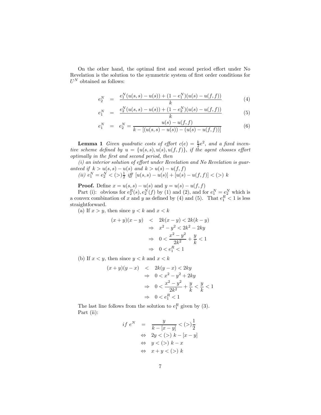On the other hand, the optimal first and second period effort under No Revelation is the solution to the symmetric system of first order conditions for  $U^N$  obtained as follows:

$$
e_2^N = \frac{e_1^N(u(s,s) - u(s)) + (1 - e_1^N)(u(s) - u(f,f))}{k} \tag{4}
$$

$$
e_1^N = \frac{e_2^N(u(s,s) - u(s)) + (1 - e_2^N)(u(s) - u(f,f))}{k} \tag{5}
$$

$$
e_1^N = e_2^N = \frac{u(s) - u(f, f)}{k - [(u(s, s) - u(s)) - (u(s) - u(f, f))]}
$$
(6)

**Lemma 1** Given quadratic costs of effort  $c(e) = \frac{k}{2}e^2$ , and a fixed incen*tive scheme defined by*  $u = \{u(s, s), u(s), u(f, f)\},\$  *if the agent chooses effort optimally in the* fi*rst and second period, then*

*(i) an interior solution of e*ff*ort under Revelation and No Revelation is guaranteed if*  $k > u(s, s) - u(s)$  *and*  $k > u(s) - u(f, f)$ (*ii*)  $e_1^N = e_2^N < (>)\frac{1}{2}$  *iff*  $[u(s, s) - u(s)] + [u(s) - u(f, f)] < (>) k$ 

**Proof.** Define  $x = u(s, s) - u(s)$  and  $y = u(s) - u(f, f)$ 

Part (i): obvious for  $e_2^R(s)$ ,  $e_2^N(f)$  by (1) and (2), and for  $e_1^N = e_2^N$  which is a convex combination of x and y as defined by (4) and (5). That  $e_1^R < 1$  is less straightforward.

(a) If  $x > y$ , then since  $y < k$  and  $x < k$ 

$$
(x+y)(x-y) < 2k(x-y) < 2k(k-y)
$$
  
\n
$$
\Rightarrow x^2 - y^2 < 2k^2 - 2ky
$$
  
\n
$$
\Rightarrow 0 < \frac{x^2 - y^2}{2k^2} + \frac{y}{k} < 1
$$
  
\n
$$
\Rightarrow 0 < e_1^R < 1
$$

(b) If  $x < y$ , then since  $y < k$  and  $x < k$ 

$$
(x+y)(y-x) < 2ky - x) < 2ky
$$
  
\n
$$
\Rightarrow 0 < x^2 - y^2 + 2ky
$$
  
\n
$$
\Rightarrow 0 < \frac{x^2 - y^2}{2k^2} + \frac{y}{k} < \frac{y}{k} < 1
$$
  
\n
$$
\Rightarrow 0 < e_1^R < 1
$$

The last line follows from the solution to  $e_1^R$  given by (3). Part (ii):

$$
if eN = \frac{y}{k - [x - y]} < (>)\frac{1}{2}
$$
  
\n
$$
\Leftrightarrow 2y < (>) k - [x - y]
$$
  
\n
$$
\Leftrightarrow y < (>) k - x
$$
  
\n
$$
\Leftrightarrow x + y < (>) k
$$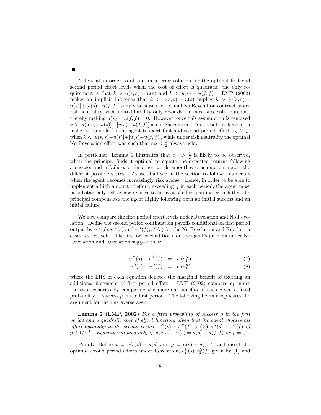Note that in order to obtain an interior solution for the optimal first and second period effort levels when the cost of effort is quadratic, the only requirement is that  $k > u(s, s) - u(s)$  and  $k > u(s) - u(f, f)$ . LMP (2002) makes an implicit inference that  $k > u(s, s) - u(s)$  implies  $k > [u(s, s)$  $u(s)|+u(s)-u(f,f)|$  simply because the optimal No Revelation contract under risk neutrality with limited liability only rewards the most successful outcome, thereby making  $u(s) = u(f, f) = 0$ . However, once this assumption is removed  $k > [u(s, s) - u(s)] + [u(s) - u(f, f)]$  is not guaranteed. As a result, risk aversion makes it possible for the agent to exert first and second period effort  $e_N > \frac{1}{2}$ , when  $k < [u(s, s)-u(s)]+[u(s)-u(f, f)]$ , while under risk neutrality the optimal No Revelation effort was such that  $e_N < \frac{1}{2}$  always held.

In particular, Lemma 1 illustrates that  $e_N > \frac{1}{2}$  is likely to be observed, when the principal finds it optimal to equate the expected returns following a success and a failure, or in other words smoothes consumption across the different possible states. As we shall see in the section to follow this occurs when the agent becomes increasingly risk averse. Hence, in order to be able to implement a high amount of effort, exceeding  $\frac{1}{2}$  in each period, the agent must be substantially risk averse relative to her cost of effort parameter such that the principal compensates the agent highly following both an initial success and an initial failure.

We now compare the first period effort levels under Revelation and No Revelation. Define the second period continuation payoffs conditional on first period output by  $v^N(f)$ ,  $v^N(s)$  and  $v^R(f)$ ,  $v^R(s)$  for the No Revelation and Revelation cases respectively. The first order conditions for the agent's problem under No Revelation and Revelation suggest that:

$$
v^N(s) - v^N(f) = c'(e_1^N)
$$
\n(7)

$$
v^{R}(s) - v^{R}(f) = c'(e_1^{R})
$$
\n(8)

where the LHS of each equation denotes the marginal benefit of exerting an additional increment of first period effort. LMP (2002) compare  $e_1$  under the two scenarios by comparing the marginal benefits of each given a fixed probability of success  $p$  in the first period. The following Lemma replicates the argument for the risk averse agent.

Lemma 2 (LMP, 2002) *For a* fi*xed probability of success* p *in the* fi*rst period and a quadratic cost of e*ff*ort function, given that the agent chooses his effort optimally in the second period,*  $v^N(s) - v^N(f) \leq (\geq) v^R(s) - v^R(f)$  *iff*  $p \leq (\geq) \frac{1}{2}$ . *Equality will hold only if*  $u(s, s) - u(s) = u(s) - u(f, f)$  *or*  $p = \frac{1}{2}$ 

**Proof.** Define  $x = u(s, s) - u(s)$  and  $y = u(s) - u(f, f)$  and insert the optimal second period efforts under Revelation,  $e_2^R(s)$ ,  $e_2^R(f)$  given by (1) and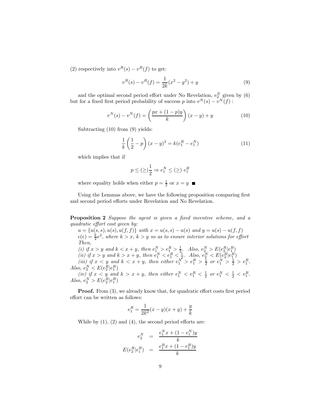(2) respectively into  $v^R(s) - v^R(f)$  to get:

$$
v^{R}(s) - v^{R}(f) = \frac{1}{2k}(x^{2} - y^{2}) + y
$$
\n(9)

and the optimal second period effort under No Revelation,  $e_2^N$  given by (6) but for a fixed first period probability of success  $p$  into  $v^N(s) - v^N(f)$ :

$$
v^{N}(s) - v^{N}(f) = \left(\frac{px + (1 - p)y}{k}\right)(x - y) + y
$$
\n(10)

Subtracting  $(10)$  from  $(9)$  yields:

$$
\frac{1}{k}\left(\frac{1}{2} - p\right)(x - y)^2 = k(e_1^R - e_1^N) \tag{11}
$$

which implies that if

$$
p \le (\ge) \frac{1}{2} \Rightarrow e_1^N \le (\ge) e_1^R
$$

where equality holds when either  $p = \frac{1}{2}$  or  $x = y$ 

Using the Lemmas above, we have the following proposition comparing first and second period efforts under Revelation and No Revelation.

Proposition 2 *Suppose the agent is given a* fi*xed incentive scheme, and a quadratic e*ff*ort cost given by:*

 $u = {u(s, s), u(s), u(f, f)}$  *with*  $x = u(s, s) - u(s)$  *and*  $y = u(s) - u(f, f)$  $c(e) = \frac{k}{2}e^2$ , where  $k > x$ ,  $k > y$  so as to ensure interior solutions for effort *Then,*

(*i*) if  $x > y$  and  $k < x + y$ , then  $e_1^N > e_1^R > \frac{1}{2}$ . Also,  $e_2^N > E(e_2^R|e_1^R)$ (*ii*) if  $x > y$  and  $k > x + y$ , then  $e_1^N < e_1^R < \frac{1}{2}$ . Also,  $e_2^N < E(e_1^R|e_1^R)$ (*iii*) *if*  $x < y$  and  $k < x + y$ , then either  $e_1^N > e_1^R > \frac{1}{2}$  or  $e_1^N > \frac{1}{2} > e_1^R$ . *Also,*  $e_2^N < E(e_2^R|e_1^R)$ 

*(iv) if*  $x < y$  *and*  $k > x + y$ *, then either*  $e_1^N < e_1^R < \frac{1}{2}$  *or*  $e_1^N < \frac{1}{2} < e_1^R$ . *Also,*  $e_2^N > E(e_2^R|e_1^R)$ 

**Proof.** From (3), we already know that, for quadratic effort costs first period effort can be written as follows:

$$
e_1^R = \frac{1}{2k^2}(x - y)(x + y) + \frac{y}{k}
$$

While by  $(1)$ ,  $(2)$  and  $(4)$ , the second period efforts are:

$$
e_2^N = \frac{e_1^N x + (1 - e_1^N)y}{k}
$$

$$
E(e_2^R | e_1^R) = \frac{e_1^R x + (1 - e_1^R)y}{k}
$$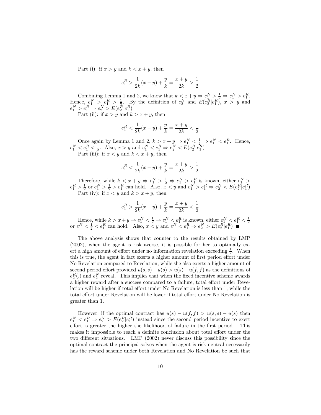Part (i): if  $x > y$  and  $k < x + y$ , then

$$
e_1^R > \frac{1}{2k}(x - y) + \frac{y}{k} = \frac{x + y}{2k} > \frac{1}{2}
$$

Combining Lemma 1 and 2, we know that  $k < x + y \Rightarrow e_1^N > \frac{1}{2} \Rightarrow e_1^N > e_1^R$ . Hence,  $e_1^N > e_1^R > \frac{1}{2}$ . By the definition of  $e_2^N$  and  $E(e_2^R|e_1^R)$ ,  $x > y$  and  $e_1^N > e_1^R \Rightarrow e_2^N > E(e_2^R|e_1^R)$ 

Part (ii): if  $x > y$  and  $k > x + y$ , then

$$
e_1^R < \frac{1}{2k}(x-y) + \frac{y}{k} = \frac{x+y}{2k} < \frac{1}{2}
$$

Once again by Lemma 1 and 2,  $k > x + y \Rightarrow e_1^N < \frac{1}{2} \Rightarrow e_1^N < e_1^R$ . Hence,  $e_1^N < e_1^R < \frac{1}{2}$ . Also,  $x > y$  and  $e_1^N < e_1^R \Rightarrow e_2^N < E(e_2^R|e_1^R)$ Part (iii): if  $x < y$  and  $k < x + y$ , then

$$
e_1^R < \frac{1}{2k}(x-y) + \frac{y}{k} = \frac{x+y}{2k} > \frac{1}{2}
$$

Therefore, while  $k \leq x + y \Rightarrow e_1^N > \frac{1}{2} \Rightarrow e_1^N > \frac{e_1^R}{2}$  is known, either  $e_1^N >$  $e_1^R > \frac{1}{2}$  or  $e_1^N > \frac{1}{2} > e_1^R$  can hold. Also,  $x < y$  and  $e_1^N > e_1^R \Rightarrow e_2^N < E(e_2^R | e_1^R)$ Part (iv): if  $x < y$  and  $k > x + y$ , then

$$
e_1^R > \frac{1}{2k}(x-y) + \frac{y}{k} = \frac{x+y}{2k} < \frac{1}{2}
$$

Hence, while  $k > x + y \Rightarrow e_1^N < \frac{1}{2} \Rightarrow e_1^N < e_1^R$  is known, either  $e_1^N < e_1^R < \frac{1}{2}$ <br>or  $e_1^N < \frac{1}{2} < e_1^R$  can hold. Also,  $x < y$  and  $e_1^N < e_1^R \Rightarrow e_2^N > E(e_2^R|e_1^R)$   $\blacksquare$ 

The above analysis shows that counter to the results obtained by LMP (2002), when the agent is risk averse, it is possible for her to optimally exert a high amount of effort under no information revelation exceeding  $\frac{1}{2}$ . When this is true, the agent in fact exerts a higher amount of first period effort under No Revelation compared to Revelation, while she also exerts a higher amount of second period effort provided  $u(s, s) - u(s) > u(s) - u(f, f)$  as the definitions of  $e_2^R(.)$  and  $e_2^N$  reveal. This implies that when the fixed incentive scheme awards a higher reward after a success compared to a failure, total effort under Revelation will be higher if total effort under No Revelation is less than 1, while the total effort under Revelation will be lower if total effort under No Revelation is greater than 1.

However, if the optimal contract has  $u(s) - u(f, f) > u(s, s) - u(s)$  then  $e_1^N < e_1^R \Rightarrow e_2^N > E(e_2^R|e_1^R)$  instead since the second period incentive to exert effort is greater the higher the likelihood of failure in the first period. This makes it impossible to reach a definite conclusion about total effort under the two different situations. LMP (2002) never discuss this possibility since the optimal contract the principal solves when the agent is risk neutral necessarily has the reward scheme under both Revelation and No Revelation be such that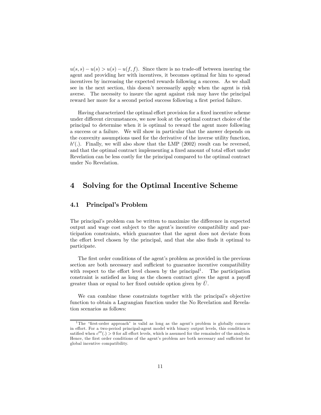$u(s, s) - u(s) > u(s) - u(f, f)$ . Since there is no trade-off between insuring the agent and providing her with incentives, it becomes optimal for him to spread incentives by increasing the expected rewards following a success. As we shall see in the next section, this doesn't necessarily apply when the agent is risk averse. The necessity to insure the agent against risk may have the principal reward her more for a second period success following a first period failure.

Having characterized the optimal effort provision for a fixed incentive scheme under different circumstances, we now look at the optimal contract choice of the principal to determine when it is optimal to reward the agent more following a success or a failure. We will show in particular that the answer depends on the convexity assumptions used for the derivative of the inverse utility function,  $h'$ . Finally, we will also show that the LMP (2002) result can be reversed, and that the optimal contract implementing a fixed amount of total effort under Revelation can be less costly for the principal compared to the optimal contract under No Revelation.

## 4 Solving for the Optimal Incentive Scheme

#### 4.1 Principal's Problem

The principal's problem can be written to maximize the difference in expected output and wage cost subject to the agent's incentive compatibility and participation constraints, which guarantee that the agent does not deviate from the effort level chosen by the principal, and that she also finds it optimal to participate.

The first order conditions of the agent's problem as provided in the previous section are both necessary and sufficient to guarantee incentive compatibility with respect to the effort level chosen by the principal<sup>1</sup>. The participation constraint is satisfied as long as the chosen contract gives the agent a payoff greater than or equal to her fixed outside option given by  $\overline{U}$ .

We can combine these constraints together with the principal's objective function to obtain a Lagrangian function under the No Revelation and Revelation scenarios as follows:

<sup>&</sup>lt;sup>1</sup>The "first-order approach" is valid as long as the agent's problem is globally concave in effort. For a two-period principal-agent model with binary output levels, this condition is satified when  $c'''(.) > 0$  for all effort levels, which is assumed for the remainder of the analysis. Hence, the first order conditions of the agent's problem are both necessary and sufficient for global incentive compatibility.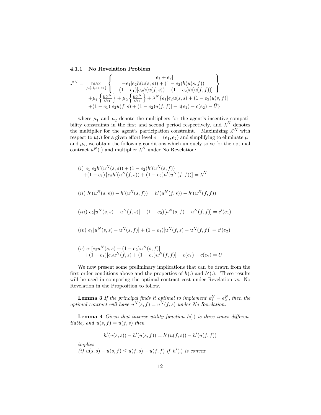#### 4.1.1 No Revelation Problem

$$
\mathcal{L}^{N} = \max_{\{u(.), e_1, e_2\}} \left\{ \begin{array}{c} [e_1 + e_2] \\ -e_1[e_2h(u(s, s)) + (1 - e_2)h(u(s, f))] \\ -(1 - e_1)[e_2h(u(f, s)) + (1 - e_2)h(u(f, f))] \\ + \mu_1 \left\{ \frac{\partial U^N}{\partial e_1} \right\} + \mu_2 \left\{ \frac{\partial U^N}{\partial e_2} \right\} + \lambda^N \{ e_1[e_2u(s, s) + (1 - e_2)u(s, f)] \\ + (1 - e_1)[e_2u(f, s) + (1 - e_2)u(f, f)] - c(e_1) - c(e_2) - \bar{U} \} \end{array} \right\}
$$

where  $\mu_1$  and  $\mu_2$  denote the multipliers for the agent's incentive compatibility constraints in the first and second period respectively, and  $\lambda^N$  denotes the multiplier for the agent's participation constraint. Maximizing  $\mathcal{L}^N$  with respect to  $u(.)$  for a given effort level  $e = (e_1, e_2)$  and simplifying to eliminate  $\mu_1$ and  $\mu_2$ , we obtain the following conditions which uniquely solve for the optimal contract  $u^N(.)$  and multiplier  $\lambda^N$  under No Revelation:

$$
(i) e_1[e_2h'(u^N(s,s)) + (1 - e_2)h'(u^N(s,f))
$$
  
+ (1 - e\_1)\{e\_2h'(u^N(f,s)) + (1 - e\_2)h'(u^N(f,f))\} = \lambda^N  
(ii) h'(u^N(s,s)) - h'(u^N(s,f)) = h'(u^N(f,s)) - h'(u^N(f,f))

$$
(iii) e_2[uN(s,s) - uN(f,s)] + (1 - e_2)[uN(s,f) - uN(f,f)] = c'(e_1)
$$

$$
(iv) e_1[u^N(s,s) - u^N(s,f)] + (1 - e_1)[u^N(f,s) - u^N(f,f)] = c'(e_2)
$$

$$
(v) e_1[e_2u^N(s,s) + (1 - e_2)u^N(s,f)] + (1 - e_1)[e_2u^N(f,s) + (1 - e_2)u^N(f,f)] - c(e_1) - c(e_2) = \overline{U}
$$

We now present some preliminary implications that can be drawn from the first order conditions above and the properties of  $h(.)$  and  $h'(.)$ . These results will be used in comparing the optimal contract cost under Revelation vs. No Revelation in the Proposition to follow.

**Lemma 3** If the principal finds it optimal to implement  $e_1^N = e_2^N$ , then the *optimal contract will have*  $u^N(s, f) = u^N(f, s)$  *under No Revelation.* 

Lemma 4 *Given that inverse utility function*  $h(.)$  *is three times differentiable, and*  $u(s, f) = u(f, s)$  *then* 

$$
h'(u(s, s)) - h'(u(s, f)) = h'(u(f, s)) - h'(u(f, f))
$$

*implies*

 $(i) u(s, s) - u(s, f) \le u(f, s) - u(f, f)$  *if*  $h'(.)$  *is convex*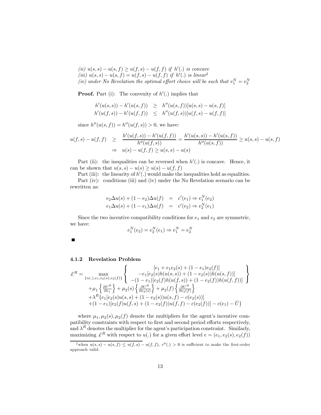$(iii) u(s, s) - u(s, f) ≥ u(f, s) - u(f, f)$  *if*  $h'(.)$  *is concave*  $(iii) u(s, s) - u(s, f) = u(f, s) - u(f, f)$  *if*  $h'(.)$  *is linear*<sup>2</sup> *(iv)* under No Revelation the optimal effort choice will be such that  $e_1^N = e_2^N$ 

**Proof.** Part (i): The convexity of  $h'$ .) implies that

$$
h'(u(s, s)) - h'(u(s, f)) \geq h''(u(s, f))[u(s, s) - u(s, f)]
$$
  

$$
h'(u(f, s)) - h'(u(f, f)) \leq h''(u(f, s))[u(f, s) - u(f, f)]
$$

since  $h''(u(s, f)) = h''(u(f, s)) > 0$ , we have:

$$
u(f,s) - u(f,f) \geq \frac{h'(u(f,s)) - h'(u(f,f))}{h''(u(f,s))} = \frac{h'(u(s,s)) - h'(u(s,f))}{h''(u(s,f))} \geq u(s,s) - u(s,f)
$$
  

$$
\Rightarrow u(s) - u(f,f) \geq u(s,s) - u(s)
$$

Part (ii): the inequalities can be reversed when  $h'$ .) is concave. Hence, it can be shown that  $u(s, s) - u(s) \ge u(s) - u(f, f)$ 

Part (iii): the linearity of  $h'$ .) would make the inequalities hold as equalities. Part (iv): conditions (iii) and (iv) under the No Revelation scenario can be rewritten as:

$$
e_2 \Delta u(s) + (1 - e_2) \Delta u(f) = c'(e_1) \Rightarrow e_1^N(e_2)
$$
  

$$
e_1 \Delta u(s) + (1 - e_1) \Delta u(f) = c'(e_2) \Rightarrow e_2^N(e_1)
$$

Since the two incentive compatibility conditions for  $e_1$  and  $e_2$  are symmetric, we have:

$$
e_1^N(e_2) = e_2^N(e_1) \Rightarrow e_1^N = e_2^N
$$

П

#### 4.1.2 Revelation Problem

$$
\mathcal{L}^{R} = \max_{\{u(.), e_{1}, e_{2}(s), e_{2}(f)\}} \left\{ \begin{array}{c} [e_{1} + e_{1}e_{2}(s) + (1 - e_{1})e_{2}(f)] \\ -e_{1}[e_{2}(s)h(u(s, s)) + (1 - e_{2}(s))h(u(s, f))] \\ -(1 - e_{1})[e_{2}(f)h(u(f, s)) + (1 - e_{2}(f))h(u(f, f))] \end{array} \right\}
$$

$$
+ \mu_{1} \left\{ \frac{\partial U^{R}}{\partial e_{1}} \right\} + \mu_{2}(s) \left\{ \frac{\partial U^{R}}{\partial e_{2}(s)} \right\} + \mu_{2}(f) \left\{ \frac{\partial U^{R}}{\partial e_{2}(f)} \right\}
$$

$$
+ \lambda^{R} \left\{ e_{1}[e_{2}(s)u(s, s) + (1 - e_{2}(s))u(s, f) - c(e_{2}(s))] \right\}
$$

$$
+ (1 - e_{1})[e_{2}(f)u(f, s) + (1 - e_{2}(f))u(f, f) - c(e_{2}(f))] - c(e_{1}) - \bar{U} \right\}
$$

where  $\mu_1, \mu_2(s), \mu_2(f)$  denote the multipliers for the agent's incentive compatibility constraints with respect to first and second period efforts respectively, and  $\lambda^R$  denotes the multiplier for the agent's participation constraint. Similarly, maximizing  $\mathcal{L}^R$  with respect to  $u(.)$  for a given effort level  $e = (e_1, e_2(s), e_2(f))$ 

<sup>&</sup>lt;sup>2</sup>when  $u(s,s) - u(s,f) \le u(f,s) - u(f,f)$ ,  $c''(.) > 0$  is sufficient to make the first-order approach valid.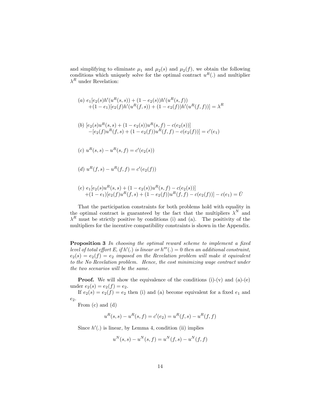and simplifying to eliminate  $\mu_1$  and  $\mu_2(s)$  and  $\mu_2(f)$ , we obtain the following conditions which uniquely solve for the optimal contract  $u^R(.)$  and multiplier  $\lambda^R$  under Revelation:

(a) 
$$
e_1[e_2(s)h'(u^R(s,s)) + (1 - e_2(s))h'(u^R(s,f))
$$
  
\t $+ (1 - e_1)[e_2(f)h'(u^R(f,s)) + (1 - e_2(f))h'(u^R(f,f))] = \lambda^R$   
\n(b)  $[e_2(s)u^R(s,s) + (1 - e_2(s))u^R(s,f) - c(e_2(s))]$   
\t $- [e_2(f)u^R(f,s) + (1 - e_2(f))u^R(f,f) - c(e_2(f))] = c'(e_1)$   
\n(c)  $u^R(s,s) - u^R(s,f) = c'(e_2(s))$   
\n(d)  $u^R(f,s) - u^R(f,f) = c'(e_2(f))$   
\n(e)  $e_1[e_2(s)u^R(s,s) + (1 - e_2(s))u^R(s,f) - c(e_2(s))]$ 

That the participation constraints for both problems hold with equality in the optimal contract is guaranteed by the fact that the multipliers  $\lambda^N$  and  $\lambda^R$  must be strictly positive by conditions (i) and (a). The positivity of the multipliers for the incentive compatibility constraints is shown in the Appendix.

 $+(1-e_1)[e_2(f)u^R(f,s) + (1-e_2(f))u^R(f,f) - c(e_2(f))] - c(e_1) = \overline{U}$ 

Proposition 3 *In choosing the optimal reward scheme to implement a* fi*xed level of total effort E, if*  $h'(.)$  *is linear or*  $h'''(.) = 0$  *then an additional constraint,*  $e_2(s) = e_2(f) = e_2$  *imposed on the Revelation problem will make it equivalent to the No Revelation problem. Hence, the cost minimizing wage contract under the two scenarios will be the same.*

**Proof.** We will show the equivalence of the conditions  $(i)-(v)$  and  $(a)-(e)$ under  $e_2(s) = e_2(f) = e_2$ .

If  $e_2(s) = e_2(f) = e_2$  then (i) and (a) become equivalent for a fixed  $e_1$  and  $e_2$ .

From (c) and (d)

$$
u^{R}(s,s) - u^{R}(s,f) = c'(e_2) = u^{R}(f,s) - u^{R}(f,f)
$$

Since  $h'$ .) is linear, by Lemma 4, condition (ii) implies

$$
u^{N}(s,s) - u^{N}(s,f) = u^{N}(f,s) - u^{N}(f,f)
$$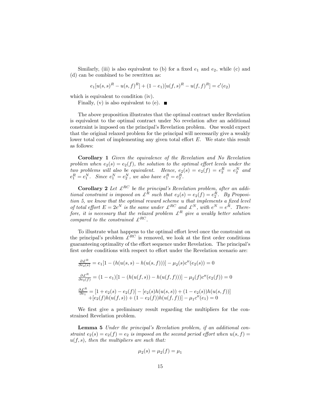Similarly, (iii) is also equivalent to (b) for a fixed  $e_1$  and  $e_2$ , while (c) and (d) can be combined to be rewritten as:

$$
e_1[u(s,s)^R - u(s,f)^R] + (1 - e_1)[u(f,s)^R - u(f,f)^R] = c'(e_2)
$$

which is equivalent to condition (iv).

Finally, (v) is also equivalent to (e).  $\blacksquare$ 

The above proposition illustrates that the optimal contract under Revelation is equivalent to the optimal contract under No revelation after an additional constraint is imposed on the principal's Revelation problem. One would expect that the original relaxed problem for the principal will necessarily give a weakly lower total cost of implementing any given total effort E. We state this result as follows:

Corollary 1 *Given the equivalence of the Revelation and No Revelation* problem when  $e_2(s) = e_2(f)$ *, the solution to the optimal effort levels under the two problems will also be equivalent.* Hence,  $e_2(s) = e_2(f) = e_2^R = e_2^N$  and  $e_1^R = e_1^N$ . Since  $e_1^N = e_2^N$ , we also have  $e_1^R = e_2^R$ .

**Corollary 2** Let  $\mathcal{L}^{RC}$  be the principal's Revelation problem, after an addi*tional constraint is imposed on*  $\mathcal{L}^R$  *such that*  $e_2(s) = e_2(f) = e_2^R$ . By Proposi*tion 5, we know that the optimal reward scheme* u *that implements a* fi*xed level of total effort*  $E = 2e^N$  *is the same under*  $\mathcal{L}^{RC}$  *and*  $\mathcal{L}^N$ *, with*  $e^N = e^R$ *. Therefore, it is necessary that the relaxed problem*  $\mathcal{L}^R$  *give a weakly better solution compared to the constrained*  $\mathcal{L}^{RC}$ .

To illustrate what happens to the optimal effort level once the constraint on the principal's problem  $\mathcal{L}^{RC}$  is removed, we look at the first order conditions guaranteeing optimality of the effort sequence under Revelation. The principal's first order conditions with respect to effort under the Revelation scenario are:

$$
\frac{\partial \mathcal{L}^R}{\partial e_2(s)} = e_1[1 - (h(u(s, s) - h(u(s, f)))] - \mu_2(s)c''(e_2(s)) = 0
$$
  

$$
\frac{\partial \mathcal{L}^R}{\partial e_2(f)} = (1 - e_1)[1 - (h(u(f, s)) - h(u(f, f)))] - \mu_2(f)c''(e_2(f)) = 0
$$
  

$$
\frac{\partial \mathcal{L}^R}{\partial e_1} = [1 + e_2(s) - e_2(f)] - [e_2(s)h(u(s, s)) + (1 - e_2(s))h(u(s, f))]
$$
  

$$
+ [e_2(f)h(u(f, s)) + (1 - e_2(f))h(u(f, f))] - \mu_1 c''(e_1) = 0
$$

We first give a preliminary result regarding the multipliers for the constrained Revelation problem.

Lemma 5 *Under the principal's Revelation problem, if an additional constraint*  $e_2(s) = e_2(f) = e_2$  *is imposed on the second period effort when*  $u(s, f) =$ u(f,s)*, then the multipliers are such that:*

$$
\mu_2(s) = \mu_2(f) = \mu_1
$$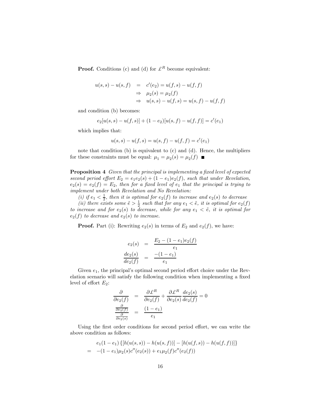**Proof.** Conditions (c) and (d) for  $\mathcal{L}^R$  become equivalent:

$$
u(s,s) - u(s,f) = c'(e_2) = u(f,s) - u(f,f)
$$
  
\n
$$
\Rightarrow \mu_2(s) = \mu_2(f)
$$
  
\n
$$
\Rightarrow u(s,s) - u(f,s) = u(s,f) - u(f,f)
$$

and condition (b) becomes:

$$
e_2[u(s,s) - u(f,s)] + (1 - e_2)[u(s,f) - u(f,f)] = c'(e_1)
$$

which implies that:

$$
u(s,s) - u(f,s) = u(s,f) - u(f,f) = c'(e_1)
$$

note that condition (b) is equivalent to (c) and (d). Hence, the multipliers for these constraints must be equal:  $\mu_1 = \mu_2(s) = \mu_2(f)$ 

Proposition 4 *Given that the principal is implementing a* fi*xed level of expected second period effort*  $E_2 = e_1e_2(s) + (1 - e_1)e_2(f)$ , *such that under Revelation*,  $e_2(s) = e_2(f) = E_2$ , then for a fixed level of  $e_1$  that the principal is trying to *implement under both Revelation and No Revelation:*

(*i*) if  $e_1 < \frac{1}{2}$ , then it is optimal for  $e_2(f)$  to increase and  $e_2(s)$  to decrease

(*ii*) there exists some  $\tilde{e} > \frac{1}{2}$  such that for any  $e_1 < \tilde{e}$ , it is optimal for  $e_2(f)$ *to increase and for*  $e_2(s)$  *to decrease, while for any*  $e_1 < \tilde{e}$ *, it is optimal for*  $e_2(f)$  *to decrease and*  $e_2(s)$  *to increase.* 

**Proof.** Part (i): Rewriting  $e_2(s)$  in terms of  $E_2$  and  $e_2(f)$ , we have:

$$
e_2(s) = \frac{E_2 - (1 - e_1)e_2(f)}{e_1}
$$

$$
\frac{de_2(s)}{de_2(f)} = \frac{-(1 - e_1)}{e_1}
$$

Given  $e_1$ , the principal's optimal second period effort choice under the Revelation scenario will satisfy the following condition when implementing a fixed level of effort  $E_2$ :

$$
\frac{\partial}{\partial e_2(f)} = \frac{\partial \mathcal{L}^R}{\partial e_2(f)} + \frac{\partial \mathcal{L}^R}{\partial e_2(s)} \frac{de_2(s)}{de_2(f)} = 0
$$

$$
\frac{\frac{\partial}{\partial e_2(f)}}{\frac{\partial}{\partial e_2(s)}} = \frac{(1 - e_1)}{e_1}
$$

Using the first order conditions for second period effort, we can write the above condition as follows:

$$
e_1(1 - e_1) \{ [h(u(s, s)) - h(u(s, f))] - [h(u(f, s)) - h(u(f, f))] \}
$$
  
= -(1 - e\_1)\mu\_2(s)c''(e\_2(s)) + e\_1\mu\_2(f)c''(e\_2(f))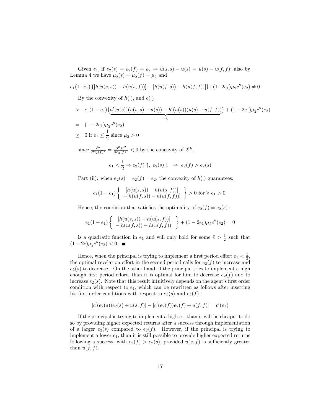Given  $e_1$ , if  $e_2(s) = e_2(f) = e_2 \Rightarrow u(s, s) - u(s) = u(s) - u(f, f)$ ; also by Lemma 4 we have  $\mu_2(s) = \mu_2(f) = \mu_2$  and

$$
e_1(1-e_1)\{[h(u(s,s))-h(u(s,f))]-[h(u(f,s))-h(u(f,f))]\}+(1-2e_1)\mu_2c''(e_2)\neq 0
$$

By the convexity of  $h(.)$ , and  $c(.)$ 

> 
$$
e_1(1-e_1)\left\{\underbrace{h'(u(s))(u(s,s)-u(s)) - h'(u(s))(u(s)-u(f,f))}_{=0}\right\} + (1-2e_1)\mu_2 c''(e_2)
$$
  
=  $(1-2e_1)\mu_2 c''(e_2)$ 

$$
\geq \quad 0 \text{ if } e_1 \leq \frac{1}{2} \text{ since } \mu_2 > 0
$$

since  $\frac{\partial^2}{\partial e_0}$  $\frac{\partial^2}{\partial e_2(f)^2} = \frac{\partial^2 \pounds^R}{\partial e_2(f)}$  $\frac{\partial^2 \mathcal{L}^R}{\partial e_2(f)^2}$  < 0 by the concavity of  $\mathcal{L}^R$ ,

$$
e_1 < \frac{1}{2} \Rightarrow e_2(f) \uparrow, \ e_2(s) \downarrow \Rightarrow e_2(f) > e_2(s)
$$

Part (ii): when  $e_2(s) = e_2(f) = e_2$ , the convexity of  $h(.)$  guarantees:

$$
e_1(1-e_1)\left\{\begin{array}{c} [h(u(s,s))-h(u(s,f))] \\ -[h(u(f,s))-h(u(f,f))] \end{array}\right\} > 0 \text{ for } \forall e_1 > 0
$$

Hence, the condition that satisfies the optimality of  $e_2(f) = e_2(s)$ :

$$
e_1(1 - e_1) \left\{ \begin{array}{c} [h(u(s, s)) - h(u(s, f))] \\ -[h(u(f, s)) - h(u(f, f))] \end{array} \right\} + (1 - 2e_1)\mu_2 c''(e_2) = 0
$$

is a quadratic function in  $e_1$  and will only hold for some  $\tilde{e} > \frac{1}{2}$  such that  $(1-2\tilde{e})\mu_2 c''(e_2) < 0.$ 

Hence, when the principal is trying to implement a first period effort  $e_1 < \frac{1}{2}$ , the optimal revelation effort in the second period calls for  $e_2(f)$  to increase and  $e_2(s)$  to decrease. On the other hand, if the principal tries to implement a high enough first period effort, than it is optimal for him to decrease  $e_2(f)$  and to increase  $e_2(s)$ . Note that this result intuitively depends on the agent's first order condition with respect to  $e_1$ , which can be rewritten as follows after inserting his first order conditions with respect to  $e_2(s)$  and  $e_2(f)$ :

$$
[c'(e_2(s))e_2(s) + u(s,f)] - [c'(e_2(f))e_2(f) + u(f,f)] = c'(e_1)
$$

If the principal is trying to implement a high  $e_1$ , than it will be cheaper to do so by providing higher expected returns after a success through implementation of a larger  $e_2(s)$  compared to  $e_2(f)$ . However, if the principal is trying to implement a lower  $e_1$ , than it is still possible to provide higher expected returns following a success, with  $e_2(f) > e_2(s)$ , provided  $u(s, f)$  is sufficiently greater than  $u(f, f)$ .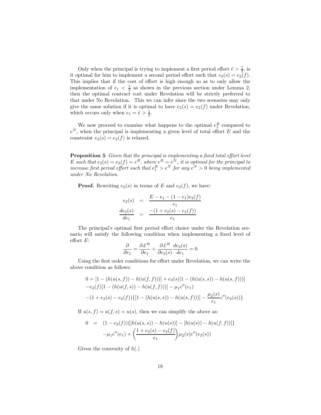Only when the principal is trying to implement a first period effort  $\tilde{e} > \frac{1}{2}$ , is it optimal for him to implement a second period effort such that  $e_2(s) = e_2(f)$ . This implies that if the cost of effort is high enough so as to only allow the implementation of  $e_1 < \frac{1}{2}$  as shown in the previous section under Lemma 2, then the optimal contract cost under Revelation will be strictly preferred to that under No Revelation. This we can infer since the two scenarios may only give the same solution if it is optimal to have  $e_2(s) = e_2(f)$  under Revelation, which occurs only when  $e_1 = \tilde{e} > \frac{1}{2}$ .

We now proceed to examine what happens to the optimal  $e_1^R$  compared to  $e^N$ , when the principal is implementing a given level of total effort E and the constraint  $e_2(s) = e_2(f)$  is relaxed.

Proposition 5 *Given that the principal is implementing a* fi*xed total e*ff*ort level* E such that  $e_2(s) = e_2(f) = e^R$ , where  $e^R = e^N$ , it is optimal for the principal to *increase first period effort such that*  $e_1^R > e^N$  *for any*  $e^N > 0$  *being implemented under No Revelation.*

**Proof.** Rewriting  $e_2(s)$  in terms of E and  $e_2(f)$ , we have:

$$
e_2(s) = \frac{E - e_1 - (1 - e_1)e_2(f)}{e_1}
$$
  

$$
\frac{de_2(s)}{de_1} = \frac{-(1 + e_2(s) - e_2(f))}{e_1}
$$

The principal's optimal first period effort choice under the Revelation scenario will satisfy the following condition when implementing a fixed level of effort E:

$$
\frac{\partial}{\partial e_1} = \frac{\partial \mathcal{L}^R}{\partial e_1} + \frac{\partial \mathcal{L}^R}{\partial e_2(s)} \frac{de_2(s)}{de_1} = 0
$$

Using the first order conditions for effort under Revelation, we can write the above condition as follows:

$$
0 = [1 - (h(u(s, f)) - h(u(f, f)))] + e_2(s)[1 - (h(u(s, s)) - h(u(s, f)))]
$$
  

$$
-e_2(f)[1 - (h(u(f, s)) - h(u(f, f)))] - \mu_1 c''(e_1)
$$
  

$$
-(1 + e_2(s) - e_2(f))\{[1 - (h(u(s, s)) - h(u(s, f)))] - \frac{\mu_2(s)}{e_1}c''(e_2(s))\}
$$

If  $u(s, f) = u(f, s) = u(s)$ , then we can simplify the above as:

$$
0 = (1 - e_2(f)) \{ [h(u(s, s)) - h(u(s))] - [h(u(s)) - h(u(f, f))] \}
$$

$$
- \mu_1 c''(e_1) + \left( \frac{1 + e_2(s) - e_2(f)}{e_1} \right) \mu_2(s) c''(e_2(s))
$$

Given the convexity of  $h(.)$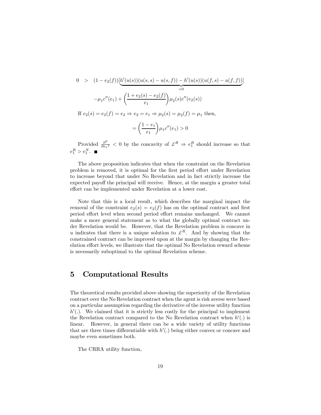$$
0 > (1 - e_2(f))[\underbrace{h'(u(s))(u(s,s) - u(s,f)) - h'(u(s))(u(f,s) - u(f,f))}_{=0}]
$$
  

$$
- \mu_1 c''(e_1) + \left(\frac{1 + e_2(s) - e_2(f)}{e_1}\right) \mu_2(s) c''(e_2(s))
$$
  
If  $e_2(s) = e_2(f) = e_2 \Rightarrow e_2 = e_1 \Rightarrow \mu_2(s) = \mu_2(f) = \mu_1$  then,  

$$
= \left(\frac{1 - e_1}{e_1}\right) \mu_1 c''(e_1) > 0
$$

Provided  $\frac{\partial^2}{\partial e_1}$  $\frac{\partial^2}{\partial e_1^2}$  < 0 by the concavity of  $\mathcal{L}^R \Rightarrow e_1^R$  should increase so that  $e_1^R > e_1^N$ .

The above proposition indicates that when the constraint on the Revelation problem is removed, it is optimal for the first period effort under Revelation to increase beyond that under No Revelation and in fact strictly increase the expected payoff the principal will receive. Hence, at the margin a greater total effort can be implemented under Revelation at a lower cost.

Note that this is a local result, which describes the marginal impact the removal of the constraint  $e_2(s) = e_2(f)$  has on the optimal contract and first period effort level when second period effort remains unchanged. We cannot make a more general statement as to what the globally optimal contract under Revelation would be. However, that the Revelation problem is concave in u indicates that there is a unique solution to  $\mathcal{L}^R$ . And by showing that the constrained contract can be improved upon at the margin by changing the Revelation effort levels, we illustrate that the optimal No Revelation reward scheme is necessarily suboptimal to the optimal Revelation scheme.

### 5 Computational Results

The theoretical results provided above showing the superiority of the Revelation contract over the No Revelation contract when the agent is risk averse were based on a particular assumption regarding the derivative of the inverse utility function  $h'$ . We claimed that it is strictly less costly for the principal to implement the Revelation contract compared to the No Revelation contract when  $h'(.)$  is linear. However, in general there can be a wide variety of utility functions that are three times differentiable with  $h'$ . being either convex or concave and maybe even sometimes both.

The CRRA utility function,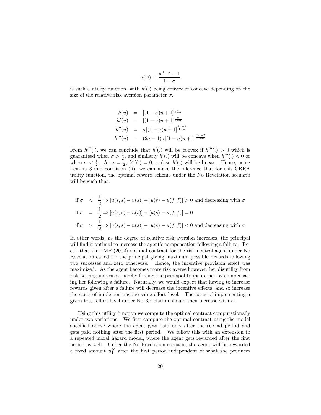$$
u(w) = \frac{w^{1-\sigma}-1}{1-\sigma}
$$

is such a utility function, with  $h'$ . being convex or concave depending on the size of the relative risk aversion parameter  $\sigma$ .

$$
h(u) = [(1 - \sigma)u + 1]^{\frac{1}{1 - \sigma}}\n h'(u) = [(1 - \sigma)u + 1]^{\frac{\sigma}{1 - \sigma}}\n h''(u) = \sigma[(1 - \sigma)u + 1]^{\frac{2\sigma - 1}{1 - \sigma}}\n h'''(u) = (2\sigma - 1)\sigma[(1 - \sigma)u + 1]^{\frac{3\sigma - 2}{1 - \sigma}}
$$

From  $h'''(.)$ , we can conclude that  $h'(.)$  will be convex if  $h'''(.) > 0$  which is guaranteed when  $\sigma > \frac{1}{2}$ , and similarly  $h'(.)$  will be concave when  $h'''(.) < 0$  or when  $\sigma < \frac{1}{2}$ . At  $\sigma = \frac{1}{2}$ ,  $h'''(.) = 0$ , and so  $h'(.)$  will be linear. Hence, using Lemma 3 and condition (ii), we can make the inference that for this CRRA utility function, the optimal reward scheme under the No Revelation scenario will be such that:

if 
$$
\sigma
$$
  $\langle \frac{1}{2} \Rightarrow [u(s, s) - u(s)] - [u(s) - u(f, f)] \rangle$  0 and decreasing with  $\sigma$   
if  $\sigma$  =  $\frac{1}{2} \Rightarrow [u(s, s) - u(s)] - [u(s) - u(f, f)] = 0$   
if  $\sigma$  >  $\frac{1}{2} \Rightarrow [u(s, s) - u(s)] - [u(s) - u(f, f)] < 0$  and decreasing with  $\sigma$ 

In other words, as the degree of relative risk aversion increases, the principal will find it optimal to increase the agent's compensation following a failure. Recall that the LMP (2002) optimal contract for the risk neutral agent under No Revelation called for the principal giving maximum possible rewards following two successes and zero otherwise. Hence, the incentive provision effect was maximized. As the agent becomes more risk averse however, her disutility from risk bearing increases thereby forcing the principal to insure her by compensating her following a failure. Naturally, we would expect that having to increase rewards given after a failure will decrease the incentive effects, and so increase the costs of implementing the same effort level. The costs of implementing a given total effort level under No Revelation should then increase with  $\sigma$ .

Using this utility function we compute the optimal contract computationally under two variations. We first compute the optimal contract using the model specified above where the agent gets paid only after the second period and gets paid nothing after the first period. We follow this with an extension to a repeated moral hazard model, where the agent gets rewarded after the first period as well. Under the No Revelation scenario, the agent will be rewarded a fixed amount  $u_1^N$  after the first period independent of what she produces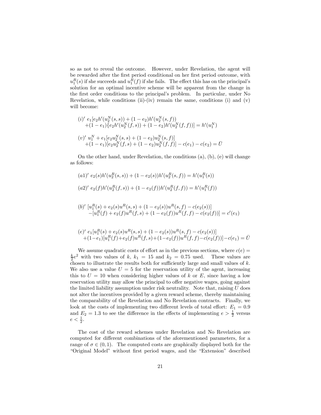so as not to reveal the outcome. However, under Revelation, the agent will be rewarded after the first period conditional on her first period outcome, with  $u_1^R(s)$  if she succeeds and  $u_1^R(f)$  if she fails. The effect this has on the principal's solution for an optimal incentive scheme will be apparent from the change in the first order conditions to the principal's problem. In particular, under No Revelation, while conditions (ii)-(iv) remain the same, conditions (i) and  $(v)$ will become:

$$
(i)' e_1[e_2h'(u_2^N(s,s)) + (1 - e_2)h'(u_2^N(s,f))+ (1 - e_1)\{e_2h'(u_2^N(f,s)) + (1 - e_2)h'(u_2^N(f,f))\} = h'(u_1^N)(v)' u_1^N + e_1[e_2u_2^N(s,s) + (1 - e_2)u_2^N(s,f)]+ (1 - e_1)[e_2u_2^N(f,s) + (1 - e_2)u_2^N(f,f)] - c(e_1) - c(e_2) = \overline{U}
$$

On the other hand, under Revelation, the conditions (a), (b), (e) will change as follows:

 $(a1)'$   $e_2(s)h'(u_2^R(s, s)) + (1 - e_2(s))h'(u_2^R(s, f)) = h'(u_1^R(s))$ 

$$
(a2)' e_2(f)h'(u_2^R(f,s)) + (1 - e_2(f))h'(u_2^R(f,f)) = h'(u_1^R(f))
$$

(b)' 
$$
[u_1^R(s) + e_2(s)u^R(s, s) + (1 - e_2(s))u^R(s, f) - c(e_2(s))]
$$
  
-  $[u_1^R(f) + e_2(f)u^R(f, s) + (1 - e_2(f))u^R(f, f) - c(e_2(f))] = c'(e_1)$ 

$$
(e)' e_1[u_1^R(s) + e_2(s)u^R(s, s) + (1 - e_2(s))u^R(s, f) - c(e_2(s))]
$$
  
+(1-e\_1)[u\_1^R(f) + e\_2(f)u^R(f, s) + (1 - e\_2(f))u^R(f, f) - c(e\_2(f))] - c(e\_1) = \overline{U}

We assume quadratic costs of effort as in the previous sections, where  $c(e)$  =  $\frac{k}{2}e^2$  with two values of k,  $k_1 = 15$  and  $k_2 = 0.75$  used. These values are chosen to illustrate the results both for sufficiently large and small values of  $k$ . We also use a value  $U = 5$  for the reservation utility of the agent, increasing this to  $U = 10$  when considering higher values of k or E, since having a low reservation utility may allow the principal to offer negative wages, going against the limited liability assumption under risk neutrality. Note that, raising  $U$  does not alter the incentives provided by a given reward scheme, thereby maintaining the comparability of the Revelation and No Revelation contracts. Finally, we look at the costs of implementing two different levels of total effort:  $E_1 = 0.9$ and  $E_2 = 1.3$  to see the difference in the effects of implementing  $e > \frac{1}{2}$  versus  $e < \frac{1}{2}$ .

The cost of the reward schemes under Revelation and No Revelation are computed for different combinations of the aforementioned parameters, for a range of  $\sigma \in (0, 1)$ . The computed costs are graphically displayed both for the "Original Model" without first period wages, and the "Extension" described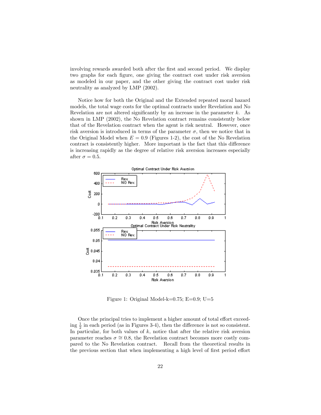involving rewards awarded both after the first and second period. We display two graphs for each figure, one giving the contract cost under risk aversion as modeled in our paper, and the other giving the contract cost under risk neutrality as analyzed by LMP (2002).

Notice how for both the Original and the Extended repeated moral hazard models, the total wage costs for the optimal contracts under Revelation and No Revelation are not altered significantly by an increase in the parameter  $k$ . As shown in LMP (2002), the No Revelation contract remains consistently below that of the Revelation contract when the agent is risk neutral. However, once risk aversion is introduced in terms of the parameter  $\sigma$ , then we notice that in the Original Model when  $E = 0.9$  (Figures 1-2), the cost of the No Revelation contract is consistently higher. More important is the fact that this difference is increasing rapidly as the degree of relative risk aversion increases especially after  $\sigma = 0.5$ .



Figure 1: Original Model-k=0.75; E=0.9; U=5

Once the principal tries to implement a higher amount of total effort exceeding  $\frac{1}{2}$  in each period (as in Figures 3-4), then the difference is not so consistent. In particular, for both values of  $k$ , notice that after the relative risk aversion parameter reaches  $\sigma \approx 0.8$ , the Revelation contract becomes more costly compared to the No Revelation contract. Recall from the theoretical results in the previous section that when implementing a high level of first period effort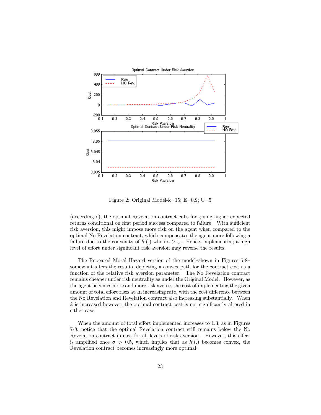

Figure 2: Original Model-k=15;  $E=0.9$ ;  $U=5$ 

(exceeding  $\tilde{e}$ ), the optimal Revelation contract calls for giving higher expected returns conditional on first period success compared to failure. With sufficient risk aversion, this might impose more risk on the agent when compared to the optimal No Revelation contract, which compensates the agent more following a failure due to the convexity of  $h'(.)$  when  $\sigma > \frac{1}{2}$ . Hence, implementing a high level of effort under significant risk aversion may reverse the results.

The Repeated Moral Hazard version of the model—shown in Figures 5-8 somewhat alters the results, depicting a convex path for the contract cost as a function of the relative risk aversion parameter. The No Revelation contract remains cheaper under risk neutrality as under the Original Model. However, as the agent becomes more and more risk averse, the cost of implementing the given amount of total effort rises at an increasing rate, with the cost difference between the No Revelation and Revelation contract also increasing substantially. When  $k$  is increased however, the optimal contract cost is not significantly altered in either case.

When the amount of total effort implemented increases to 1.3, as in Figures 7-8, notice that the optimal Revelation contract still remains below the No Revelation contract in cost for all levels of risk aversion. However, this effect is amplified once  $\sigma > 0.5$ , which implies that as  $h'(.)$  becomes convex, the Revelation contract becomes increasingly more optimal.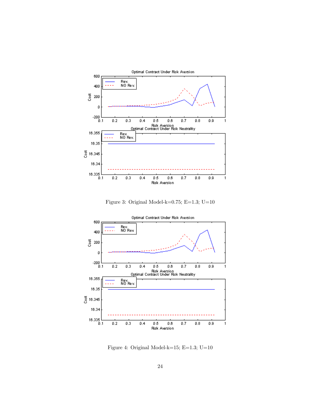

Figure 3: Original Model-k=0.75; E=1.3; U=10



Figure 4: Original Model-k=15; E=1.3; U=10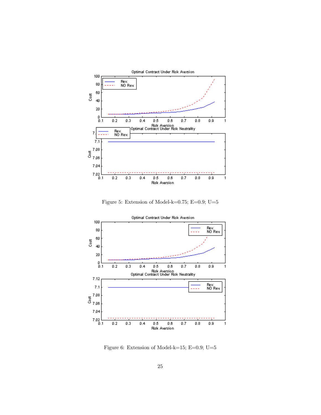

Figure 5: Extension of Model-k=0.75; E=0.9; U=5



Figure 6: Extension of Model-k=15; E=0.9; U=5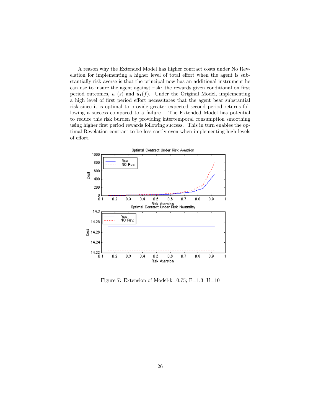A reason why the Extended Model has higher contract costs under No Revelation for implementing a higher level of total effort when the agent is substantially risk averse is that the principal now has an additional instrument he can use to insure the agent against risk: the rewards given conditional on first period outcomes,  $u_1(s)$  and  $u_1(f)$ . Under the Original Model, implementing a high level of first period effort necessitates that the agent bear substantial risk since it is optimal to provide greater expected second period returns following a success compared to a failure. The Extended Model has potential to reduce this risk burden by providing intertemporal consumption smoothing using higher first period rewards following success. This in turn enables the optimal Revelation contract to be less costly even when implementing high levels of effort.



Figure 7: Extension of Model-k=0.75; E=1.3; U=10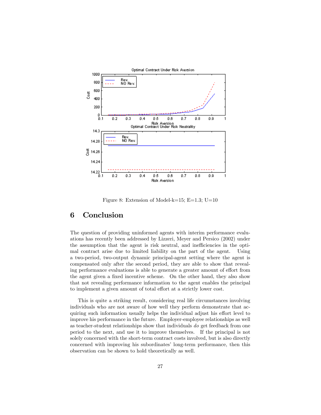

Figure 8: Extension of Model-k=15; E=1.3; U=10

## 6 Conclusion

The question of providing uninformed agents with interim performance evaluations has recently been addressed by Lizzeri, Meyer and Persico (2002) under the assumption that the agent is risk neutral, and inefficiencies in the optimal contract arise due to limited liability on the part of the agent. Using a two-period, two-output dynamic principal-agent setting where the agent is compensated only after the second period, they are able to show that revealing performance evaluations is able to generate a greater amount of effort from the agent given a fixed incentive scheme. On the other hand, they also show that not revealing performance information to the agent enables the principal to implement a given amount of total effort at a strictly lower cost.

This is quite a striking result, considering real life circumstances involving individuals who are not aware of how well they perform demonstrate that acquiring such information usually helps the individual adjust his effort level to improve his performance in the future. Employer-employee relationships as well as teacher-student relationships show that individuals *do* get feedback from one period to the next, and use it to improve themselves. If the principal is not solely concerned with the short-term contract costs involved, but is also directly concerned with improving his subordinates' long-term performance, then this observation can be shown to hold theoretically as well.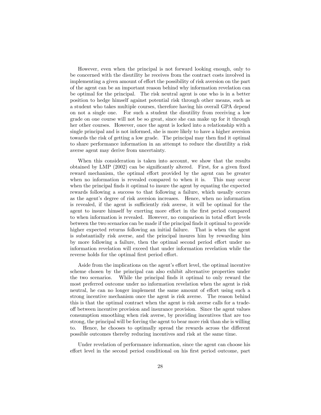However, even when the principal is not forward looking enough, only to be concerned with the disutility he receives from the contract costs involved in implementing a given amount of effort the possibility of risk aversion on the part of the agent can be an important reason behind why information revelation can be optimal for the principal. The risk neutral agent is one who is in a better position to hedge himself against potential risk through other means, such as a student who takes multiple courses, therefore having his overall GPA depend on not a single one. For such a student the disutility from receiving a low grade on one course will not be so great, since she can make up for it through her other courses. However, once the agent is locked into a relationship with a single principal and is not informed, she is more likely to have a higher aversion towards the risk of getting a low grade. The principal may then find it optimal to share performance information in an attempt to reduce the disutility a risk averse agent may derive from uncertainty.

When this consideration is taken into account, we show that the results obtained by LMP (2002) can be significantly altered. First, for a given fixed reward mechanism, the optimal effort provided by the agent can be greater when no information is revealed compared to when it is. This may occur when the principal finds it optimal to insure the agent by equating the expected rewards following a success to that following a failure, which usually occurs as the agent's degree of risk aversion increases. Hence, when no information is revealed, if the agent is sufficiently risk averse, it will be optimal for the agent to insure himself by exerting more effort in the first period compared to when information is revealed. However, no comparison in total effort levels between the two scenarios can be made if the principal finds it optimal to provide higher expected returns following an initial failure. That is when the agent is substantially risk averse, and the principal insures him by rewarding him by more following a failure, then the optimal second period effort under no information revelation will exceed that under information revelation while the reverse holds for the optimal first period effort.

Aside from the implications on the agent's effort level, the optimal incentive scheme chosen by the principal can also exhibit alternative properties under the two scenarios. While the principal finds it optimal to only reward the most preferred outcome under no information revelation when the agent is risk neutral, he can no longer implement the same amount of effort using such a strong incentive mechanism once the agent is risk averse. The reason behind this is that the optimal contract when the agent is risk averse calls for a tradeoff between incentive provision and insurance provision. Since the agent values consumption smoothing when risk averse, by providing incentives that are too strong, the principal will be forcing the agent to bear more risk than she is willing to. Hence, he chooses to optimally spread the rewards across the different possible outcomes thereby reducing incentives and risk at the same time.

Under revelation of performance information, since the agent can choose his effort level in the second period conditional on his first period outcome, part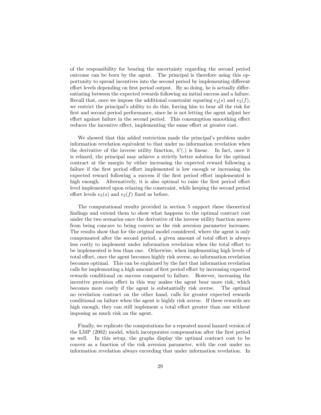of the responsibility for bearing the uncertainty regarding the second period outcome can be born by the agent. The principal is therefore using this opportunity to spread incentives into the second period by implementing different effort levels depending on first period output. By so doing, he is actually differentiating between the expected rewards following an initial success and a failure. Recall that, once we impose the additional constraint equating  $e_2(s)$  and  $e_2(f)$ , we restrict the principal's ability to do this, forcing him to bear all the risk for first and second period performance, since he is not letting the agent adjust her effort against failure in the second period. This consumption smoothing effect reduces the incentive effect, implementing the same effort at greater cost.

We showed that this added restriction made the principal's problem under information revelation equivalent to that under no information revelation when the derivative of the inverse utility function,  $h'$ . is linear. In fact, once it is relaxed, the principal may achieve a strictly better solution for the optimal contract at the margin by either increasing the expected reward following a failure if the first period effort implemented is low enough or increasing the expected reward following a success if the first period effort implemented is high enough. Alternatively, it is also optimal to raise the first period effort level implemented upon relaxing the constraint, while keeping the second period effort levels  $e_2(s)$  and  $e_2(f)$  fixed as before.

The computational results provided in section 5 support these theoretical findings and extend them to show what happens to the optimal contract cost under the two scenarios once the derivative of the inverse utility function moves from being concave to being convex as the risk aversion parameter increases. The results show that for the original model considered, where the agent is only compensated after the second period, a given amount of total effort is always less costly to implement under information revelation when the total effort to be implemented is less than one. Otherwise, when implementing high levels of total effort, once the agent becomes highly risk averse, no information revelation becomes optimal. This can be explained by the fact that information revelation calls for implementing a high amount of first period effort by increasing expected rewards conditional on success compared to failure. However, increasing the incentive provision effect in this way makes the agent bear more risk, which becomes more costly if the agent is substantially risk averse. The optimal no revelation contract on the other hand, calls for greater expected rewards conditional on failure when the agent is highly risk averse. If these rewards are high enough, they can still implement a total effort greater than one without imposing as much risk on the agent.

Finally, we replicate the computations for a repeated moral hazard version of the LMP (2002) model, which incorporates compensation after the first period as well. In this setup, the graphs display the optimal contract cost to be convex as a function of the risk aversion parameter, with the cost under no information revelation always exceeding that under information revelation. In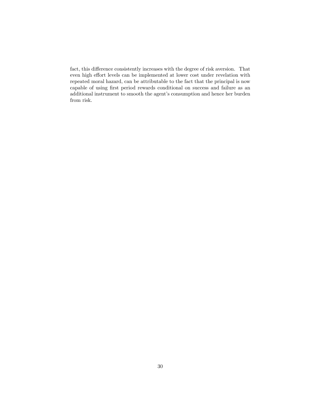fact, this difference consistently increases with the degree of risk aversion. That even high effort levels can be implemented at lower cost under revelation with repeated moral hazard, can be attributable to the fact that the principal is now capable of using first period rewards conditional on success and failure as an additional instrument to smooth the agent's consumption and hence her burden from risk.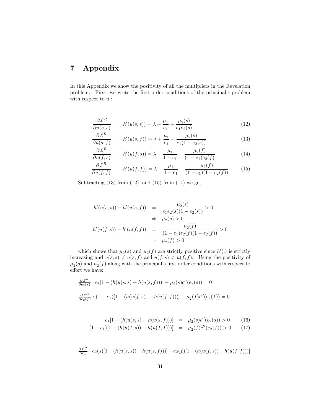## 7 Appendix

In this Appendix we show the positivity of all the multipliers in the Revelation problem. First, we write the first order conditions of the principal's problem with respect to  $\boldsymbol{u}$  :

$$
\frac{\partial \mathcal{L}^R}{\partial u(s,s)} \quad : \quad h'(u(s,s)) = \lambda + \frac{\mu_1}{e_1} + \frac{\mu_2(s)}{e_1 e_2(s)} \tag{12}
$$

$$
\frac{\partial \mathcal{L}^{R}}{\partial u(s,f)} \quad : \quad h'(u(s,f)) = \lambda + \frac{\mu_1}{e_1} - \frac{\mu_2(s)}{e_1(1 - e_2(s))} \tag{13}
$$

$$
\frac{\partial \mathcal{L}^R}{\partial u(f,s)} \quad : \quad h'(u(f,s)) = \lambda - \frac{\mu_1}{1 - e_1} + \frac{\mu_2(f)}{(1 - e_1)e_2(f)} \tag{14}
$$

$$
\frac{\partial \mathcal{L}^R}{\partial u(f,f)} \quad : \quad h'(u(f,f)) = \lambda - \frac{\mu_1}{1 - e_1} - \frac{\mu_2(f)}{(1 - e_1)(1 - e_2(f))} \tag{15}
$$

Subtracting  $(13)$  from  $(12)$ , and  $(15)$  from  $(14)$  we get:

$$
h'(u(s, s)) - h'(u(s, f)) = \frac{\mu_2(s)}{e_1 e_2(s)(1 - e_2(s))} > 0
$$
  
\n
$$
\Rightarrow \mu_2(s) > 0
$$
  
\n
$$
h'(u(f, s)) - h'(u(f, f)) = \frac{\mu_2(f)}{(1 - e_1)e_2(f)(1 - e_2(f))} > 0
$$
  
\n
$$
\Rightarrow \mu_2(f) > 0
$$

which shows that  $\mu_2(s)$  and  $\mu_2(f)$  are strictly positive since  $h'(.)$  is strictly increasing and  $u(s, s) \neq u(s, f)$  and  $u(f, s) \neq u(f, f)$ . Using the positivity of  $\mu_2(s)$  and  $\mu_2(f)$  along with the principal's first order conditions with respect to effort we have:

$$
\frac{\partial \mathcal{L}^R}{\partial e_2(s)} : e_1[1 - (h(u(s, s) - h(u(s, f)))] - \mu_2(s)c''(e_2(s)) = 0
$$
  

$$
\frac{\partial \mathcal{L}^R}{\partial e_2(f)} : (1 - e_1)[1 - (h(u(f, s)) - h(u(f, f)))] - \mu_2(f)c''(e_2(f)) = 0
$$

$$
e_1[1 - (h(u(s, s) - h(u(s, f)))) = \mu_2(s)c''(e_2(s)) > 0 \tag{16}
$$

$$
(1 - e1)[1 - (h(u(f, s)) - h(u(f, f)))] = \mu_2(f)c''(e_2(f)) > 0
$$
 (17)

$$
\frac{\partial \mathcal{L}^R}{\partial e_1} : e_2(s)[1 - (h(u(s, s)) - h(u(s, f)))] - e_2(f)[1 - (h(u(f, s)) - h(u(f, f)))]
$$